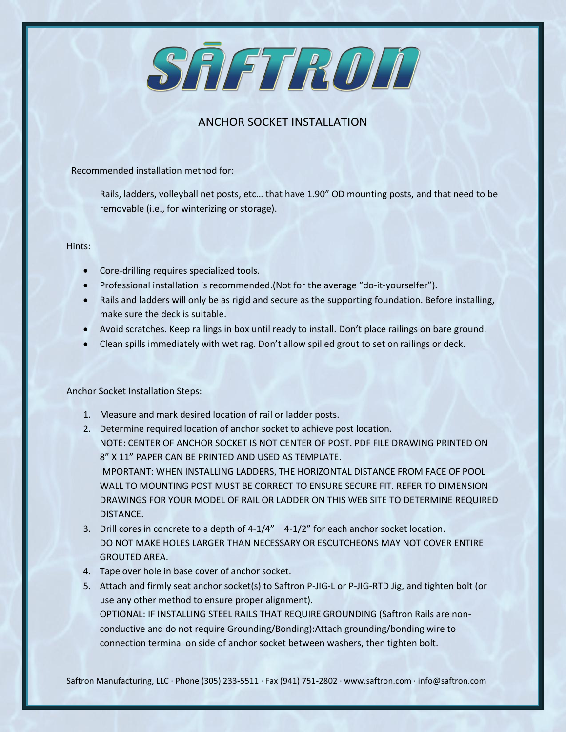SAFTROD

## ANCHOR SOCKET INSTALLATION

Recommended installation method for:

Rails, ladders, volleyball net posts, etc… that have 1.90" OD mounting posts, and that need to be removable (i.e., for winterizing or storage).

Hints:

- Core-drilling requires specialized tools.
- Professional installation is recommended.(Not for the average "do-it-yourselfer").
- Rails and ladders will only be as rigid and secure as the supporting foundation. Before installing, make sure the deck is suitable.
- Avoid scratches. Keep railings in box until ready to install. Don't place railings on bare ground.
- Clean spills immediately with wet rag. Don't allow spilled grout to set on railings or deck.

Anchor Socket Installation Steps:

- 1. Measure and mark desired location of rail or ladder posts.
- 2. Determine required location of anchor socket to achieve post location. NOTE: CENTER OF ANCHOR SOCKET IS NOT CENTER OF POST. PDF FILE DRAWING PRINTED ON 8" X 11" PAPER CAN BE PRINTED AND USED AS TEMPLATE. IMPORTANT: WHEN INSTALLING LADDERS, THE HORIZONTAL DISTANCE FROM FACE OF POOL WALL TO MOUNTING POST MUST BE CORRECT TO ENSURE SECURE FIT. REFER TO DIMENSION DRAWINGS FOR YOUR MODEL OF RAIL OR LADDER ON THIS WEB SITE TO DETERMINE REQUIRED DISTANCE.
- 3. Drill cores in concrete to a depth of  $4-1/4'' 4-1/2''$  for each anchor socket location. DO NOT MAKE HOLES LARGER THAN NECESSARY OR ESCUTCHEONS MAY NOT COVER ENTIRE GROUTED AREA.
- 4. Tape over hole in base cover of anchor socket.
- 5. Attach and firmly seat anchor socket(s) to Saftron P-JIG-L or P-JIG-RTD Jig, and tighten bolt (or use any other method to ensure proper alignment). OPTIONAL: IF INSTALLING STEEL RAILS THAT REQUIRE GROUNDING (Saftron Rails are nonconductive and do not require Grounding/Bonding):Attach grounding/bonding wire to connection terminal on side of anchor socket between washers, then tighten bolt.

Saftron Manufacturing, LLC · Phone (305) 233-5511 · Fax (941) 751-2802 · www.saftron.com · info@saftron.com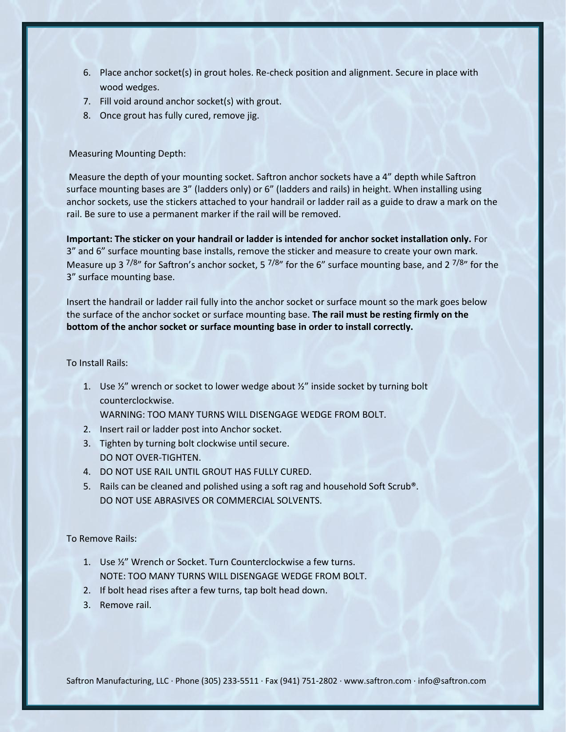- 6. Place anchor socket(s) in grout holes. Re-check position and alignment. Secure in place with wood wedges.
- 7. Fill void around anchor socket(s) with grout.
- 8. Once grout has fully cured, remove jig.

## Measuring Mounting Depth:

Measure the depth of your mounting socket. Saftron anchor sockets have a 4" depth while Saftron surface mounting bases are 3" (ladders only) or 6" (ladders and rails) in height. When installing using anchor sockets, use the stickers attached to your handrail or ladder rail as a guide to draw a mark on the rail. Be sure to use a permanent marker if the rail will be removed.

**Important: The sticker on your handrail or ladder is intended for anchor socket installation only.** For 3" and 6" surface mounting base installs, remove the sticker and measure to create your own mark. Measure up 3  $7/8$ " for Saftron's anchor socket, 5  $7/8$ " for the 6" surface mounting base, and 2  $7/8$ " for the 3" surface mounting base.

Insert the handrail or ladder rail fully into the anchor socket or surface mount so the mark goes below the surface of the anchor socket or surface mounting base. **The rail must be resting firmly on the bottom of the anchor socket or surface mounting base in order to install correctly.**

To Install Rails:

1. Use  $\frac{1}{2}$ " wrench or socket to lower wedge about  $\frac{1}{2}$ " inside socket by turning bolt counterclockwise.

WARNING: TOO MANY TURNS WILL DISENGAGE WEDGE FROM BOLT.

- 2. Insert rail or ladder post into Anchor socket.
- 3. Tighten by turning bolt clockwise until secure. DO NOT OVER-TIGHTEN.
- 4. DO NOT USE RAIL UNTIL GROUT HAS FULLY CURED.
- 5. Rails can be cleaned and polished using a soft rag and household Soft Scrub®. DO NOT USE ABRASIVES OR COMMERCIAL SOLVENTS.

To Remove Rails:

- 1. Use ½" Wrench or Socket. Turn Counterclockwise a few turns. NOTE: TOO MANY TURNS WILL DISENGAGE WEDGE FROM BOLT.
- 2. If bolt head rises after a few turns, tap bolt head down.
- 3. Remove rail.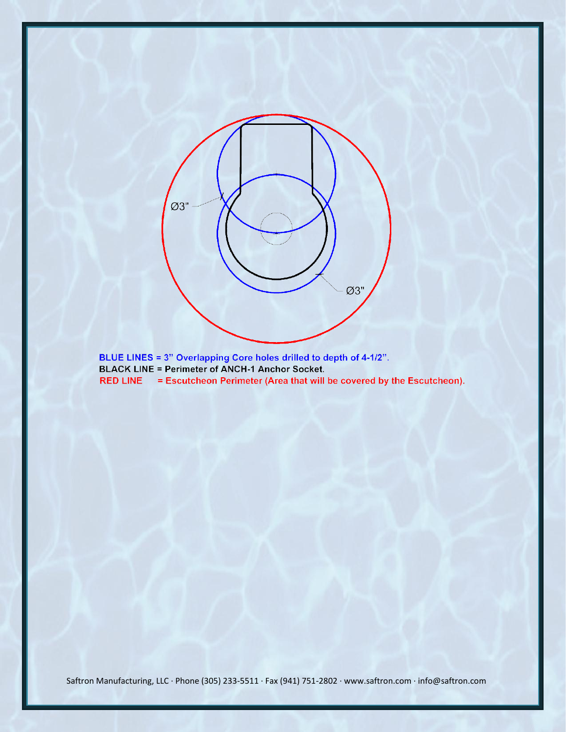

**BLACK LINE = Perimeter of ANCH-1 Anchor Socket.** 

RED LINE = Escutcheon Perimeter (Area that will be covered by the Escutcheon).

Saftron Manufacturing, LLC · Phone (305) 233-5511 · Fax (941) 751-2802 · www.saftron.com · info@saftron.com